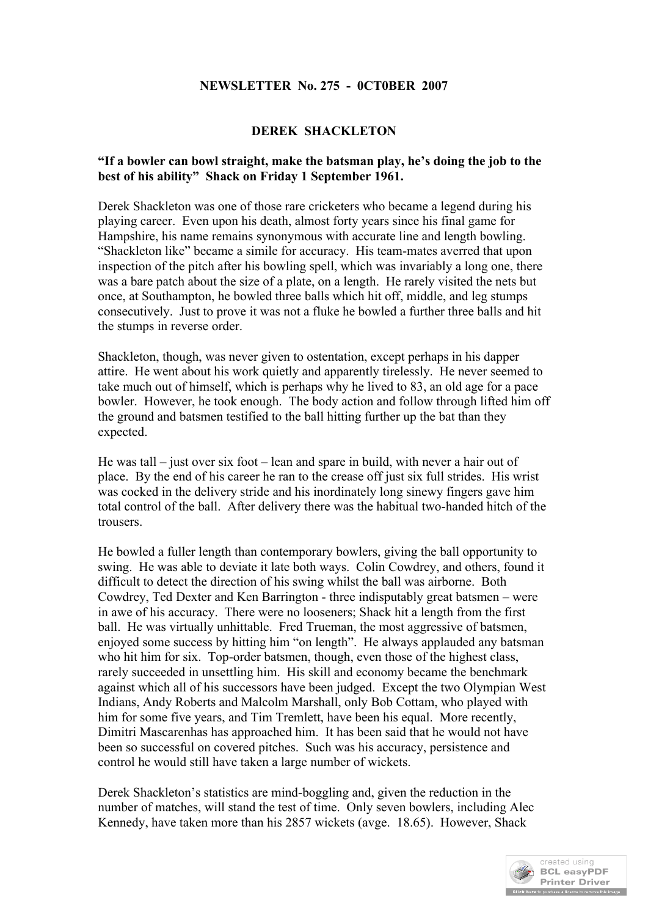## **NEWSLETTER No. 275 - 0CT0BER 2007**

## **DEREK SHACKLETON**

## **"If a bowler can bowl straight, make the batsman play, he's doing the job to the best of his ability" Shack on Friday 1 September 1961.**

Derek Shackleton was one of those rare cricketers who became a legend during his playing career. Even upon his death, almost forty years since his final game for Hampshire, his name remains synonymous with accurate line and length bowling. "Shackleton like" became a simile for accuracy. His team-mates averred that upon inspection of the pitch after his bowling spell, which was invariably a long one, there was a bare patch about the size of a plate, on a length. He rarely visited the nets but once, at Southampton, he bowled three balls which hit off, middle, and leg stumps consecutively. Just to prove it was not a fluke he bowled a further three balls and hit the stumps in reverse order.

Shackleton, though, was never given to ostentation, except perhaps in his dapper attire. He went about his work quietly and apparently tirelessly. He never seemed to take much out of himself, which is perhaps why he lived to 83, an old age for a pace bowler. However, he took enough. The body action and follow through lifted him off the ground and batsmen testified to the ball hitting further up the bat than they expected.

He was tall – just over six foot – lean and spare in build, with never a hair out of place. By the end of his career he ran to the crease off just six full strides. His wrist was cocked in the delivery stride and his inordinately long sinewy fingers gave him total control of the ball. After delivery there was the habitual two-handed hitch of the trousers.

He bowled a fuller length than contemporary bowlers, giving the ball opportunity to swing. He was able to deviate it late both ways. Colin Cowdrey, and others, found it difficult to detect the direction of his swing whilst the ball was airborne. Both Cowdrey, Ted Dexter and Ken Barrington - three indisputably great batsmen – were in awe of his accuracy. There were no looseners; Shack hit a length from the first ball. He was virtually unhittable. Fred Trueman, the most aggressive of batsmen, enjoyed some success by hitting him "on length". He always applauded any batsman who hit him for six. Top-order batsmen, though, even those of the highest class, rarely succeeded in unsettling him. His skill and economy became the benchmark against which all of his successors have been judged. Except the two Olympian West Indians, Andy Roberts and Malcolm Marshall, only Bob Cottam, who played with him for some five years, and Tim Tremlett, have been his equal. More recently, Dimitri Mascarenhas has approached him. It has been said that he would not have been so successful on covered pitches. Such was his accuracy, persistence and control he would still have taken a large number of wickets.

Derek Shackleton's statistics are mind-boggling and, given the reduction in the number of matches, will stand the test of time. Only seven bowlers, including Alec Kennedy, have taken more than his 2857 wickets (avge. 18.65). However, Shack

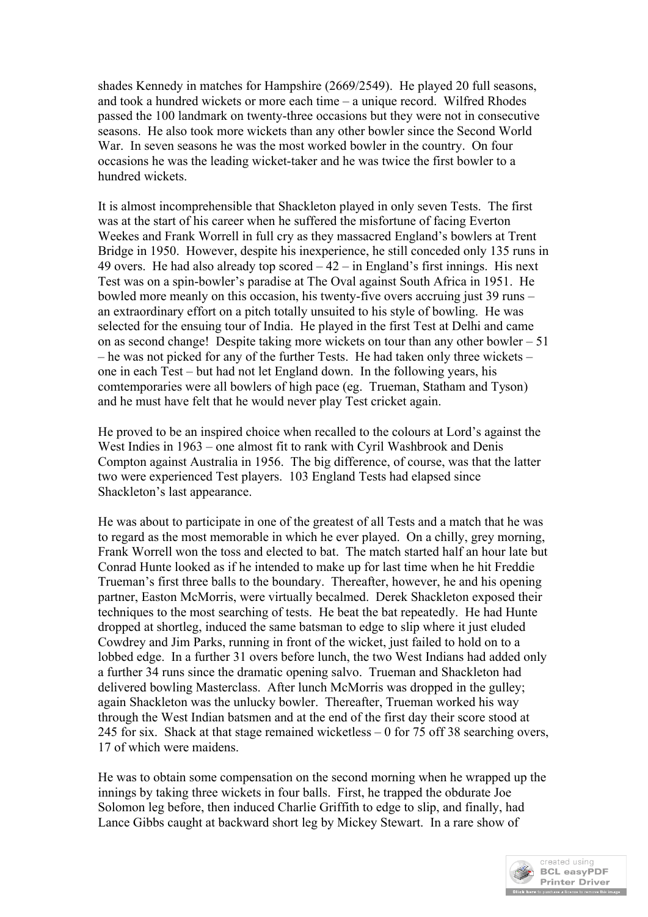shades Kennedy in matches for Hampshire (2669/2549). He played 20 full seasons, and took a hundred wickets or more each time – a unique record. Wilfred Rhodes passed the 100 landmark on twenty-three occasions but they were not in consecutive seasons. He also took more wickets than any other bowler since the Second World War. In seven seasons he was the most worked bowler in the country. On four occasions he was the leading wicket-taker and he was twice the first bowler to a hundred wickets.

It is almost incomprehensible that Shackleton played in only seven Tests. The first was at the start of his career when he suffered the misfortune of facing Everton Weekes and Frank Worrell in full cry as they massacred England's bowlers at Trent Bridge in 1950. However, despite his inexperience, he still conceded only 135 runs in 49 overs. He had also already top scored  $-42 -$  in England's first innings. His next Test was on a spin-bowler's paradise at The Oval against South Africa in 1951. He bowled more meanly on this occasion, his twenty-five overs accruing just 39 runs – an extraordinary effort on a pitch totally unsuited to his style of bowling. He was selected for the ensuing tour of India. He played in the first Test at Delhi and came on as second change! Despite taking more wickets on tour than any other bowler  $-51$ – he was not picked for any of the further Tests. He had taken only three wickets – one in each Test – but had not let England down. In the following years, his comtemporaries were all bowlers of high pace (eg. Trueman, Statham and Tyson) and he must have felt that he would never play Test cricket again.

He proved to be an inspired choice when recalled to the colours at Lord's against the West Indies in 1963 – one almost fit to rank with Cyril Washbrook and Denis Compton against Australia in 1956. The big difference, of course, was that the latter two were experienced Test players. 103 England Tests had elapsed since Shackleton's last appearance.

He was about to participate in one of the greatest of all Tests and a match that he was to regard as the most memorable in which he ever played. On a chilly, grey morning, Frank Worrell won the toss and elected to bat. The match started half an hour late but Conrad Hunte looked as if he intended to make up for last time when he hit Freddie Trueman's first three balls to the boundary. Thereafter, however, he and his opening partner, Easton McMorris, were virtually becalmed. Derek Shackleton exposed their techniques to the most searching of tests. He beat the bat repeatedly. He had Hunte dropped at shortleg, induced the same batsman to edge to slip where it just eluded Cowdrey and Jim Parks, running in front of the wicket, just failed to hold on to a lobbed edge. In a further 31 overs before lunch, the two West Indians had added only a further 34 runs since the dramatic opening salvo. Trueman and Shackleton had delivered bowling Masterclass. After lunch McMorris was dropped in the gulley; again Shackleton was the unlucky bowler. Thereafter, Trueman worked his way through the West Indian batsmen and at the end of the first day their score stood at 245 for six. Shack at that stage remained wicketless – 0 for 75 off 38 searching overs, 17 of which were maidens.

He was to obtain some compensation on the second morning when he wrapped up the innings by taking three wickets in four balls. First, he trapped the obdurate Joe Solomon leg before, then induced Charlie Griffith to edge to slip, and finally, had Lance Gibbs caught at backward short leg by Mickey Stewart. In a rare show of

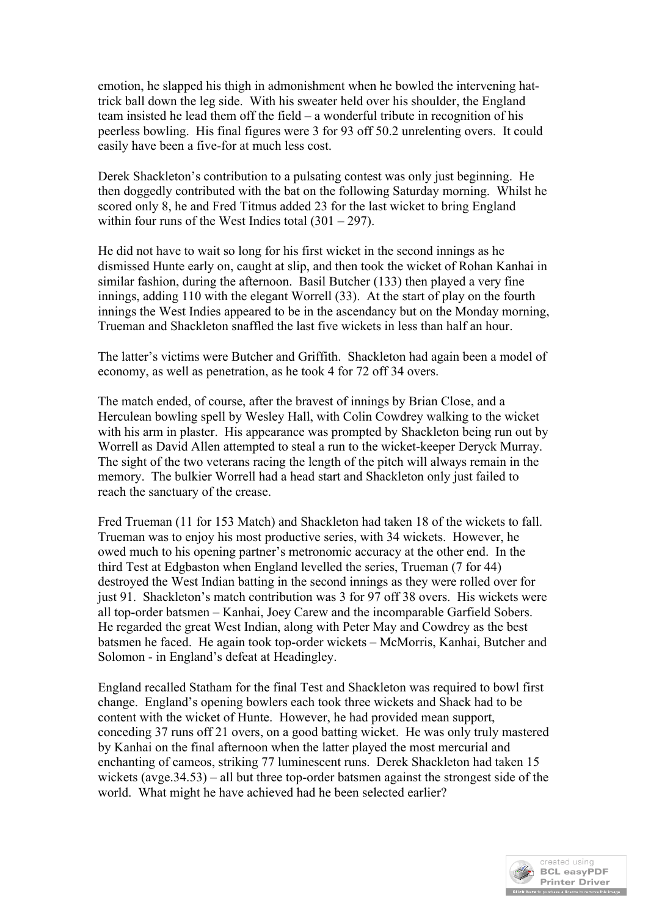emotion, he slapped his thigh in admonishment when he bowled the intervening hattrick ball down the leg side. With his sweater held over his shoulder, the England team insisted he lead them off the field – a wonderful tribute in recognition of his peerless bowling. His final figures were 3 for 93 off 50.2 unrelenting overs. It could easily have been a five-for at much less cost.

Derek Shackleton's contribution to a pulsating contest was only just beginning. He then doggedly contributed with the bat on the following Saturday morning. Whilst he scored only 8, he and Fred Titmus added 23 for the last wicket to bring England within four runs of the West Indies total  $(301 – 297)$ .

He did not have to wait so long for his first wicket in the second innings as he dismissed Hunte early on, caught at slip, and then took the wicket of Rohan Kanhai in similar fashion, during the afternoon. Basil Butcher (133) then played a very fine innings, adding 110 with the elegant Worrell (33). At the start of play on the fourth innings the West Indies appeared to be in the ascendancy but on the Monday morning, Trueman and Shackleton snaffled the last five wickets in less than half an hour.

The latter's victims were Butcher and Griffith. Shackleton had again been a model of economy, as well as penetration, as he took 4 for 72 off 34 overs.

The match ended, of course, after the bravest of innings by Brian Close, and a Herculean bowling spell by Wesley Hall, with Colin Cowdrey walking to the wicket with his arm in plaster. His appearance was prompted by Shackleton being run out by Worrell as David Allen attempted to steal a run to the wicket-keeper Deryck Murray. The sight of the two veterans racing the length of the pitch will always remain in the memory. The bulkier Worrell had a head start and Shackleton only just failed to reach the sanctuary of the crease.

Fred Trueman (11 for 153 Match) and Shackleton had taken 18 of the wickets to fall. Trueman was to enjoy his most productive series, with 34 wickets. However, he owed much to his opening partner's metronomic accuracy at the other end. In the third Test at Edgbaston when England levelled the series, Trueman (7 for 44) destroyed the West Indian batting in the second innings as they were rolled over for just 91. Shackleton's match contribution was 3 for 97 off 38 overs. His wickets were all top-order batsmen – Kanhai, Joey Carew and the incomparable Garfield Sobers. He regarded the great West Indian, along with Peter May and Cowdrey as the best batsmen he faced. He again took top-order wickets – McMorris, Kanhai, Butcher and Solomon - in England's defeat at Headingley.

England recalled Statham for the final Test and Shackleton was required to bowl first change. England's opening bowlers each took three wickets and Shack had to be content with the wicket of Hunte. However, he had provided mean support, conceding 37 runs off 21 overs, on a good batting wicket. He was only truly mastered by Kanhai on the final afternoon when the latter played the most mercurial and enchanting of cameos, striking 77 luminescent runs. Derek Shackleton had taken 15 wickets (avge.34.53) – all but three top-order batsmen against the strongest side of the world. What might he have achieved had he been selected earlier?

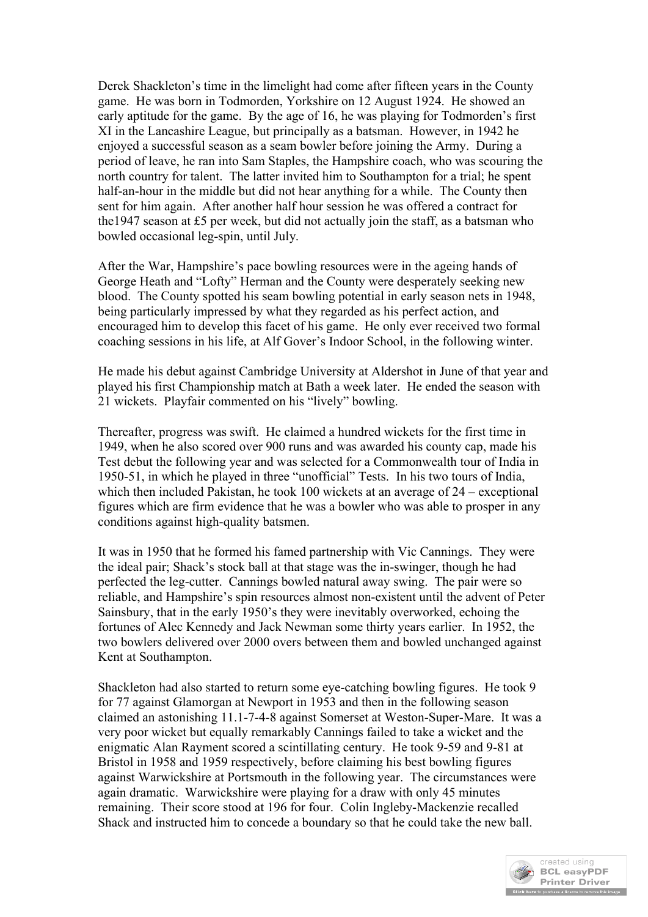Derek Shackleton's time in the limelight had come after fifteen years in the County game. He was born in Todmorden, Yorkshire on 12 August 1924. He showed an early aptitude for the game. By the age of 16, he was playing for Todmorden's first XI in the Lancashire League, but principally as a batsman. However, in 1942 he enjoyed a successful season as a seam bowler before joining the Army. During a period of leave, he ran into Sam Staples, the Hampshire coach, who was scouring the north country for talent. The latter invited him to Southampton for a trial; he spent half-an-hour in the middle but did not hear anything for a while. The County then sent for him again. After another half hour session he was offered a contract for the1947 season at £5 per week, but did not actually join the staff, as a batsman who bowled occasional leg-spin, until July.

After the War, Hampshire's pace bowling resources were in the ageing hands of George Heath and "Lofty" Herman and the County were desperately seeking new blood. The County spotted his seam bowling potential in early season nets in 1948, being particularly impressed by what they regarded as his perfect action, and encouraged him to develop this facet of his game. He only ever received two formal coaching sessions in his life, at Alf Gover's Indoor School, in the following winter.

He made his debut against Cambridge University at Aldershot in June of that year and played his first Championship match at Bath a week later. He ended the season with 21 wickets. Playfair commented on his "lively" bowling.

Thereafter, progress was swift. He claimed a hundred wickets for the first time in 1949, when he also scored over 900 runs and was awarded his county cap, made his Test debut the following year and was selected for a Commonwealth tour of India in 1950-51, in which he played in three "unofficial" Tests. In his two tours of India, which then included Pakistan, he took 100 wickets at an average of 24 – exceptional figures which are firm evidence that he was a bowler who was able to prosper in any conditions against high-quality batsmen.

It was in 1950 that he formed his famed partnership with Vic Cannings. They were the ideal pair; Shack's stock ball at that stage was the in-swinger, though he had perfected the leg-cutter. Cannings bowled natural away swing. The pair were so reliable, and Hampshire's spin resources almost non-existent until the advent of Peter Sainsbury, that in the early 1950's they were inevitably overworked, echoing the fortunes of Alec Kennedy and Jack Newman some thirty years earlier. In 1952, the two bowlers delivered over 2000 overs between them and bowled unchanged against Kent at Southampton.

Shackleton had also started to return some eye-catching bowling figures. He took 9 for 77 against Glamorgan at Newport in 1953 and then in the following season claimed an astonishing 11.1-7-4-8 against Somerset at Weston-Super-Mare. It was a very poor wicket but equally remarkably Cannings failed to take a wicket and the enigmatic Alan Rayment scored a scintillating century. He took 9-59 and 9-81 at Bristol in 1958 and 1959 respectively, before claiming his best bowling figures against Warwickshire at Portsmouth in the following year. The circumstances were again dramatic. Warwickshire were playing for a draw with only 45 minutes remaining. Their score stood at 196 for four. Colin Ingleby-Mackenzie recalled Shack and instructed him to concede a boundary so that he could take the new ball.

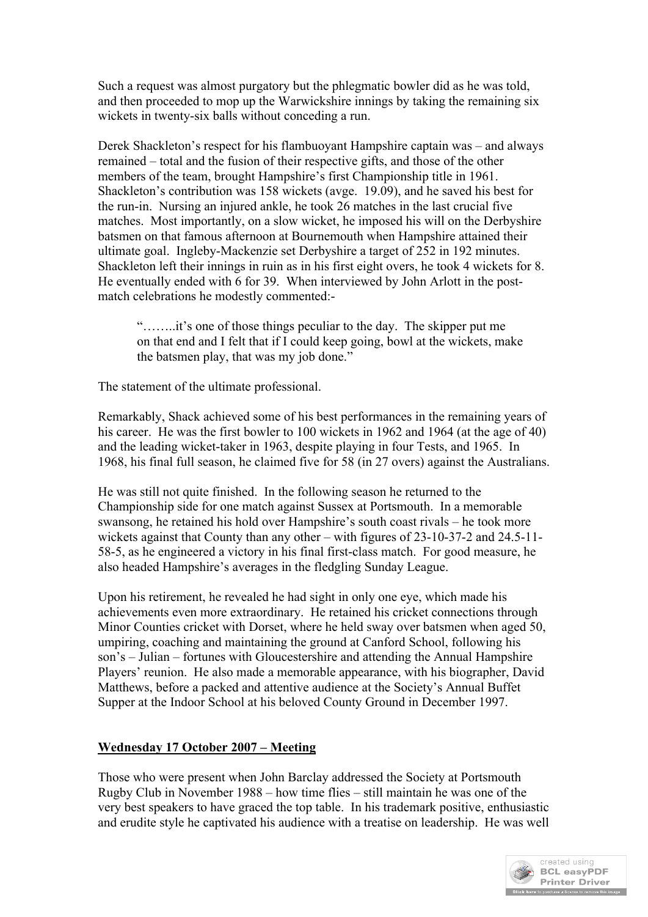Such a request was almost purgatory but the phlegmatic bowler did as he was told, and then proceeded to mop up the Warwickshire innings by taking the remaining six wickets in twenty-six balls without conceding a run.

Derek Shackleton's respect for his flambuoyant Hampshire captain was – and always remained – total and the fusion of their respective gifts, and those of the other members of the team, brought Hampshire's first Championship title in 1961. Shackleton's contribution was 158 wickets (avge. 19.09), and he saved his best for the run-in. Nursing an injured ankle, he took 26 matches in the last crucial five matches. Most importantly, on a slow wicket, he imposed his will on the Derbyshire batsmen on that famous afternoon at Bournemouth when Hampshire attained their ultimate goal. Ingleby-Mackenzie set Derbyshire a target of 252 in 192 minutes. Shackleton left their innings in ruin as in his first eight overs, he took 4 wickets for 8. He eventually ended with 6 for 39. When interviewed by John Arlott in the postmatch celebrations he modestly commented:-

"……..it's one of those things peculiar to the day. The skipper put me on that end and I felt that if I could keep going, bowl at the wickets, make the batsmen play, that was my job done."

The statement of the ultimate professional.

Remarkably, Shack achieved some of his best performances in the remaining years of his career. He was the first bowler to 100 wickets in 1962 and 1964 (at the age of 40) and the leading wicket-taker in 1963, despite playing in four Tests, and 1965. In 1968, his final full season, he claimed five for 58 (in 27 overs) against the Australians.

He was still not quite finished. In the following season he returned to the Championship side for one match against Sussex at Portsmouth. In a memorable swansong, he retained his hold over Hampshire's south coast rivals – he took more wickets against that County than any other – with figures of 23-10-37-2 and 24.5-11- 58-5, as he engineered a victory in his final first-class match. For good measure, he also headed Hampshire's averages in the fledgling Sunday League.

Upon his retirement, he revealed he had sight in only one eye, which made his achievements even more extraordinary. He retained his cricket connections through Minor Counties cricket with Dorset, where he held sway over batsmen when aged 50, umpiring, coaching and maintaining the ground at Canford School, following his son's – Julian – fortunes with Gloucestershire and attending the Annual Hampshire Players' reunion. He also made a memorable appearance, with his biographer, David Matthews, before a packed and attentive audience at the Society's Annual Buffet Supper at the Indoor School at his beloved County Ground in December 1997.

## **Wednesday 17 October 2007 – Meeting**

Those who were present when John Barclay addressed the Society at Portsmouth Rugby Club in November 1988 – how time flies – still maintain he was one of the very best speakers to have graced the top table. In his trademark positive, enthusiastic and erudite style he captivated his audience with a treatise on leadership. He was well